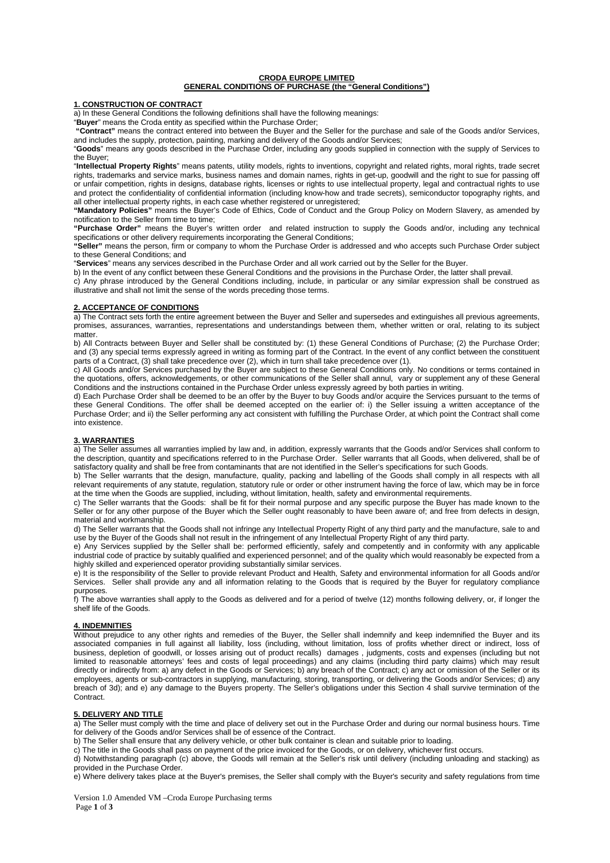## **CRODA EUROPE LIMITED GENERAL CONDITIONS OF PURCHASE (the "General Conditions")**

## **1. CONSTRUCTION OF CONTRACT**

a) In these General Conditions the following definitions shall have the following meanings:

"**Buyer**" means the Croda entity as specified within the Purchase Order;

**"Contract"** means the contract entered into between the Buyer and the Seller for the purchase and sale of the Goods and/or Services, and includes the supply, protection, painting, marking and delivery of the Goods and/or Services;

"**Goods**" means any goods described in the Purchase Order, including any goods supplied in connection with the supply of Services to the Buyer;

"**Intellectual Property Rights**" means patents, utility models, rights to inventions, copyright and related rights, moral rights, trade secret rights, trademarks and service marks, business names and domain names, rights in get-up, goodwill and the right to sue for passing off or unfair competition, rights in designs, database rights, licenses or rights to use intellectual property, legal and contractual rights to use and protect the confidentiality of confidential information (including know-how and trade secrets), semiconductor topography rights, and all other intellectual property rights, in each case whether registered or unregistered;

**"Mandatory Policies"** means the Buyer's Code of Ethics, Code of Conduct and the Group Policy on Modern Slavery, as amended by notification to the Seller from time to time;

**"Purchase Order"** means the Buyer's written order and related instruction to supply the Goods and/or, including any technical specifications or other delivery requirements incorporating the General Conditions;

**"Seller"** means the person, firm or company to whom the Purchase Order is addressed and who accepts such Purchase Order subject to these General Conditions; and

"**Services**" means any services described in the Purchase Order and all work carried out by the Seller for the Buyer.

b) In the event of any conflict between these General Conditions and the provisions in the Purchase Order, the latter shall prevail.

c) Any phrase introduced by the General Conditions including, include, in particular or any similar expression shall be construed as illustrative and shall not limit the sense of the words preceding those terms.

## **2. ACCEPTANCE OF CONDITIONS**

a) The Contract sets forth the entire agreement between the Buyer and Seller and supersedes and extinguishes all previous agreements, promises, assurances, warranties, representations and understandings between them, whether written or oral, relating to its subject matter.

b) All Contracts between Buyer and Seller shall be constituted by: (1) these General Conditions of Purchase; (2) the Purchase Order; and (3) any special terms expressly agreed in writing as forming part of the Contract. In the event of any conflict between the constituent parts of a Contract, (3) shall take precedence over (2), which in turn shall take precedence over (1).

c) All Goods and/or Services purchased by the Buyer are subject to these General Conditions only. No conditions or terms contained in the quotations, offers, acknowledgements, or other communications of the Seller shall annul, vary or supplement any of these General Conditions and the instructions contained in the Purchase Order unless expressly agreed by both parties in writing.

d) Each Purchase Order shall be deemed to be an offer by the Buyer to buy Goods and/or acquire the Services pursuant to the terms of these General Conditions. The offer shall be deemed accepted on the earlier of: i) the Seller issuing a written acceptance of the Purchase Order; and ii) the Seller performing any act consistent with fulfilling the Purchase Order, at which point the Contract shall come into existence.

## **3. WARRANTIES**

a) The Seller assumes all warranties implied by law and, in addition, expressly warrants that the Goods and/or Services shall conform to the description, quantity and specifications referred to in the Purchase Order. Seller warrants that all Goods, when delivered, shall be of satisfactory quality and shall be free from contaminants that are not identified in the Seller's specifications for such Goods.

b) The Seller warrants that the design, manufacture, quality, packing and labelling of the Goods shall comply in all respects with all relevant requirements of any statute, regulation, statutory rule or order or other instrument having the force of law, which may be in force at the time when the Goods are supplied, including, without limitation, health, safety and environmental requirements.

c) The Seller warrants that the Goods: shall be fit for their normal purpose and any specific purpose the Buyer has made known to the Seller or for any other purpose of the Buyer which the Seller ought reasonably to have been aware of; and free from defects in design, material and workmanship.

d) The Seller warrants that the Goods shall not infringe any Intellectual Property Right of any third party and the manufacture, sale to and use by the Buyer of the Goods shall not result in the infringement of any Intellectual Property Right of any third party.

e) Any Services supplied by the Seller shall be: performed efficiently, safely and competently and in conformity with any applicable industrial code of practice by suitably qualified and experienced personnel; and of the quality which would reasonably be expected from a highly skilled and experienced operator providing substantially similar services.

e) It is the responsibility of the Seller to provide relevant Product and Health, Safety and environmental information for all Goods and/or Services. Seller shall provide any and all information relating to the Goods that is required by the Buyer for regulatory compliance purposes.

f) The above warranties shall apply to the Goods as delivered and for a period of twelve (12) months following delivery, or, if longer the shelf life of the Goods.

# **4. INDEMNITIES**

Without prejudice to any other rights and remedies of the Buyer, the Seller shall indemnify and keep indemnified the Buyer and its associated companies in full against all liability, loss (including, without limitation, loss of profits whether direct or indirect, loss of business, depletion of goodwill, or losses arising out of product recalls) damages , judgments, costs and expenses (including but not limited to reasonable attorneys' fees and costs of legal proceedings) and any claims (including third party claims) which may result directly or indirectly from: a) any defect in the Goods or Services; b) any breach of the Contract; c) any act or omission of the Seller or its employees, agents or sub-contractors in supplying, manufacturing, storing, transporting, or delivering the Goods and/or Services; d) any breach of 3d); and e) any damage to the Buyers property. The Seller's obligations under this Section 4 shall survive termination of the Contract.

## **5. DELIVERY AND TITLE**

a) The Seller must comply with the time and place of delivery set out in the Purchase Order and during our normal business hours. Time for delivery of the Goods and/or Services shall be of essence of the Contract.

b) The Seller shall ensure that any delivery vehicle, or other bulk container is clean and suitable prior to loading.

c) The title in the Goods shall pass on payment of the price invoiced for the Goods, or on delivery, whichever first occurs.

d) Notwithstanding paragraph (c) above, the Goods will remain at the Seller's risk until delivery (including unloading and stacking) as provided in the Purchase Order.

e) Where delivery takes place at the Buyer's premises, the Seller shall comply with the Buyer's security and safety regulations from time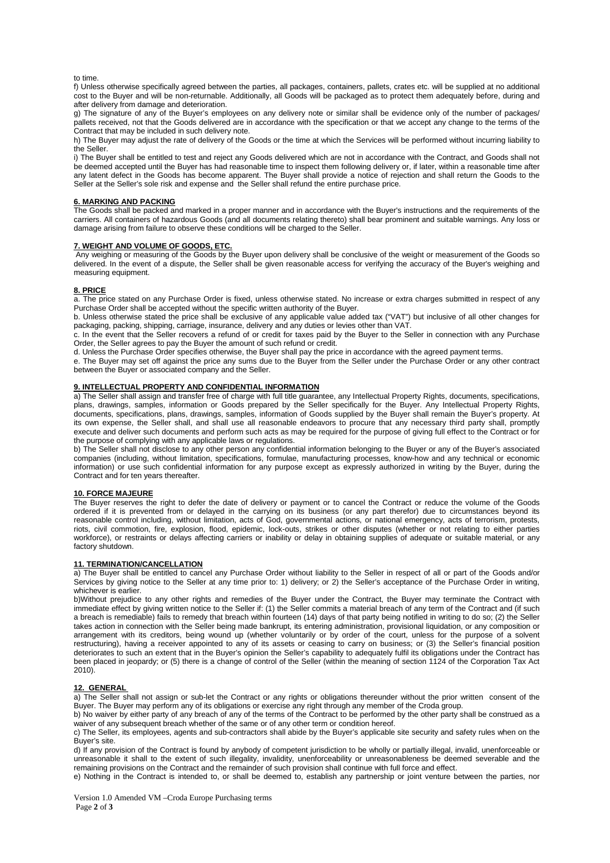#### to time.

f) Unless otherwise specifically agreed between the parties, all packages, containers, pallets, crates etc. will be supplied at no additional cost to the Buyer and will be non-returnable. Additionally, all Goods will be packaged as to protect them adequately before, during and after delivery from damage and deterioration.

g) The signature of any of the Buyer's employees on any delivery note or similar shall be evidence only of the number of packages/ pallets received, not that the Goods delivered are in accordance with the specification or that we accept any change to the terms of the Contract that may be included in such delivery note.

h) The Buyer may adjust the rate of delivery of the Goods or the time at which the Services will be performed without incurring liability to the Seller.

i) The Buyer shall be entitled to test and reject any Goods delivered which are not in accordance with the Contract, and Goods shall not be deemed accepted until the Buyer has had reasonable time to inspect them following delivery or, if later, within a reasonable time after any latent defect in the Goods has become apparent. The Buyer shall provide a notice of rejection and shall return the Goods to the Seller at the Seller's sole risk and expense and the Seller shall refund the entire purchase price.

# **6. MARKING AND PACKING**

The Goods shall be packed and marked in a proper manner and in accordance with the Buyer's instructions and the requirements of the carriers. All containers of hazardous Goods (and all documents relating thereto) shall bear prominent and suitable warnings. Any loss or damage arising from failure to observe these conditions will be charged to the Seller.

#### **7. WEIGHT AND VOLUME OF GOODS, ETC.**

Any weighing or measuring of the Goods by the Buyer upon delivery shall be conclusive of the weight or measurement of the Goods so delivered. In the event of a dispute, the Seller shall be given reasonable access for verifying the accuracy of the Buyer's weighing and measuring equipment.

# **8. PRICE**

a. The price stated on any Purchase Order is fixed, unless otherwise stated. No increase or extra charges submitted in respect of any Purchase Order shall be accepted without the specific written authority of the Buyer.

b. Unless otherwise stated the price shall be exclusive of any applicable value added tax ("VAT") but inclusive of all other changes for packaging, packing, shipping, carriage, insurance, delivery and any duties or levies other than VAT.

c. In the event that the Seller recovers a refund of or credit for taxes paid by the Buyer to the Seller in connection with any Purchase Order, the Seller agrees to pay the Buyer the amount of such refund or credit.

d. Unless the Purchase Order specifies otherwise, the Buyer shall pay the price in accordance with the agreed payment terms.

e. The Buyer may set off against the price any sums due to the Buyer from the Seller under the Purchase Order or any other contract between the Buyer or associated company and the Seller.

# **9. INTELLECTUAL PROPERTY AND CONFIDENTIAL INFORMATION**

a) The Seller shall assign and transfer free of charge with full title guarantee, any Intellectual Property Rights, documents, specifications, plans, drawings, samples, information or Goods prepared by the Seller specifically for the Buyer. Any Intellectual Property Rights, documents, specifications, plans, drawings, samples, information of Goods supplied by the Buyer shall remain the Buyer's property. At its own expense, the Seller shall, and shall use all reasonable endeavors to procure that any necessary third party shall, promptly execute and deliver such documents and perform such acts as may be required for the purpose of giving full effect to the Contract or for the purpose of complying with any applicable laws or regulations.

b) The Seller shall not disclose to any other person any confidential information belonging to the Buyer or any of the Buyer's associated companies (including, without limitation, specifications, formulae, manufacturing processes, know-how and any technical or economic information) or use such confidential information for any purpose except as expressly authorized in writing by the Buyer, during the Contract and for ten years thereafter.

# **10. FORCE MAJEURE**

The Buyer reserves the right to defer the date of delivery or payment or to cancel the Contract or reduce the volume of the Goods ordered if it is prevented from or delayed in the carrying on its business (or any part therefor) due to circumstances beyond its reasonable control including, without limitation, acts of God, governmental actions, or national emergency, acts of terrorism, protests, riots, civil commotion, fire, explosion, flood, epidemic, lock-outs, strikes or other disputes (whether or not relating to either parties workforce), or restraints or delays affecting carriers or inability or delay in obtaining supplies of adequate or suitable material, or any factory shutdown.

#### **11. TERMINATION/CANCELLATION**

a) The Buyer shall be entitled to cancel any Purchase Order without liability to the Seller in respect of all or part of the Goods and/or Services by giving notice to the Seller at any time prior to: 1) delivery; or 2) the Seller's acceptance of the Purchase Order in writing, whichever is earlier.

b)Without prejudice to any other rights and remedies of the Buyer under the Contract, the Buyer may terminate the Contract with immediate effect by giving written notice to the Seller if: (1) the Seller commits a material breach of any term of the Contract and (if such a breach is remediable) fails to remedy that breach within fourteen (14) days of that party being notified in writing to do so; (2) the Seller takes action in connection with the Seller being made bankrupt, its entering administration, provisional liquidation, or any composition or arrangement with its creditors, being wound up (whether voluntarily or by order of the court, unless for the purpose of a solvent restructuring), having a receiver appointed to any of its assets or ceasing to carry on business; or (3) the Seller's financial position deteriorates to such an extent that in the Buyer's opinion the Seller's capability to adequately fulfil its obligations under the Contract has been placed in jeopardy; or (5) there is a change of control of the Seller (within the meaning of section 1124 of the Corporation Tax Act 2010).

## **12. GENERAL**

a) The Seller shall not assign or sub-let the Contract or any rights or obligations thereunder without the prior written consent of the Buyer. The Buyer may perform any of its obligations or exercise any right through any member of the Croda group.

b) No waiver by either party of any breach of any of the terms of the Contract to be performed by the other party shall be construed as a waiver of any subsequent breach whether of the same or of any other term or condition hereof.

c) The Seller, its employees, agents and sub-contractors shall abide by the Buyer's applicable site security and safety rules when on the Buyer's site.

d) If any provision of the Contract is found by anybody of competent jurisdiction to be wholly or partially illegal, invalid, unenforceable or unreasonable it shall to the extent of such illegality, invalidity, unenforceability or unreasonableness be deemed severable and the remaining provisions on the Contract and the remainder of such provision shall continue with full force and effect.

e) Nothing in the Contract is intended to, or shall be deemed to, establish any partnership or joint venture between the parties, nor

Version 1.0 Amended VM –Croda Europe Purchasing terms Page **2** of **3**